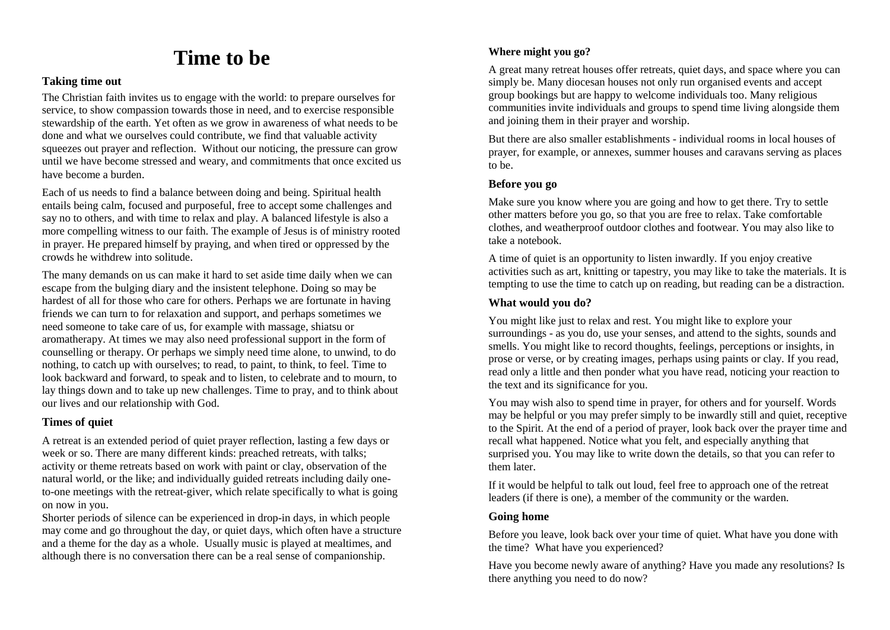# **Time to be**

#### **Taking time out**

The Christian faith invites us to engage with the world: to prepare ourselves for service, to show compassion towards those in need, and to exercise responsible stewardship of the earth. Yet often as we grow in awareness of what needs to be done and what we ourselves could contribute, we find that valuable activity squeezes out prayer and reflection. Without our noticing, the pressure can grow until we have become stressed and weary, and commitments that once excited us have become a burden.

Each of us needs to find a balance between doing and being. Spiritual health entails being calm, focused and purposeful, free to accept some challenges and say no to others, and with time to relax and play. A balanced lifestyle is also a more compelling witness to our faith. The example of Jesus is of ministry rooted in prayer. He prepared himself by praying, and when tired or oppressed by the crowds he withdrew into solitude.

The many demands on us can make it hard to set aside time daily when we can escape from the bulging diary and the insistent telephone. Doing so may be hardest of all for those who care for others. Perhaps we are fortunate in having friends we can turn to for relaxation and support, and perhaps sometimes we need someone to take care of us, for example with massage, shiatsu or aromatherapy. At times we may also need professional support in the form of counselling or therapy. Or perhaps we simply need time alone, to unwind, to do nothing, to catch up with ourselves; to read, to paint, to think, to feel. Time to look backward and forward, to speak and to listen, to celebrate and to mourn, to lay things down and to take up new challenges. Time to pray, and to think about our lives and our relationship with God.

#### **Times of quiet**

A retreat is an extended period of quiet prayer reflection, lasting a few days or week or so. There are many different kinds: preached retreats, with talks; activity or theme retreats based on work with paint or clay, observation of the natural world, or the like; and individually guided retreats including daily oneto-one meetings with the retreat-giver, which relate specifically to what is going on now in you.

Shorter periods of silence can be experienced in drop-in days, in which people may come and go throughout the day, or quiet days, which often have a structure and a theme for the day as a whole. Usually music is played at mealtimes, and although there is no conversation there can be a real sense of companionship.

## **Where might you go?**

A great many retreat houses offer retreats, quiet days, and space where you can simply be. Many diocesan houses not only run organised events and accept group bookings but are happy to welcome individuals too. Many religious communities invite individuals and groups to spend time living alongside them and joining them in their prayer and worship.

But there are also smaller establishments - individual rooms in local houses of prayer, for example, or annexes, summer houses and caravans serving as places to be.

#### **Before you go**

Make sure you know where you are going and how to get there. Try to settle other matters before you go, so that you are free to relax. Take comfortable clothes, and weatherproof outdoor clothes and footwear. You may also like to take a notebook.

A time of quiet is an opportunity to listen inwardly. If you enjoy creative activities such as art, knitting or tapestry, you may like to take the materials. It is tempting to use the time to catch up on reading, but reading can be a distraction.

#### **What would you do?**

You might like just to relax and rest. You might like to explore your surroundings - as you do, use your senses, and attend to the sights, sounds and smells. You might like to record thoughts, feelings, perceptions or insights, in prose or verse, or by creating images, perhaps using paints or clay. If you read, read only a little and then ponder what you have read, noticing your reaction to the text and its significance for you.

You may wish also to spend time in prayer, for others and for yourself. Words may be helpful or you may prefer simply to be inwardly still and quiet, receptive to the Spirit. At the end of a period of prayer, look back over the prayer time and recall what happened. Notice what you felt, and especially anything that surprised you. You may like to write down the details, so that you can refer to them later.

If it would be helpful to talk out loud, feel free to approach one of the retreat leaders (if there is one), a member of the community or the warden.

### **Going home**

Before you leave, look back over your time of quiet. What have you done with the time? What have you experienced?

Have you become newly aware of anything? Have you made any resolutions? Is there anything you need to do now?